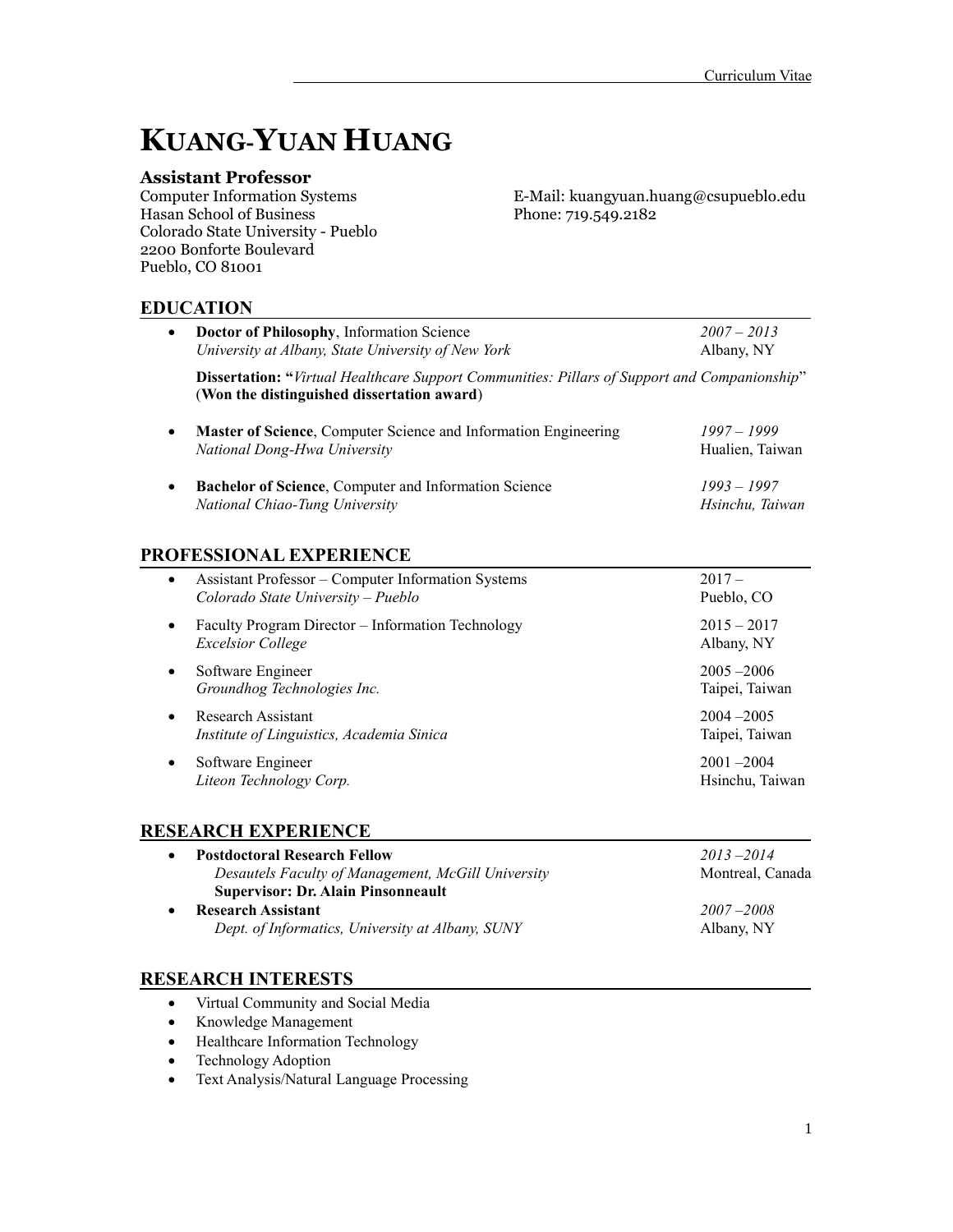# **KUANG-YUAN HUANG**

**Assistant Professor** Hasan School of Business Phone: 719.549.2182 Colorado State University - Pueblo 2200 Bonforte Boulevard Pueblo, CO 81001

E-Mail: kuangyuan.huang@csupueblo.edu

# **EDUCATION**

| $\bullet$ | Doctor of Philosophy, Information Science<br>University at Albany, State University of New York                                                   | $2007 - 2013$<br>Albany, NY      |
|-----------|---------------------------------------------------------------------------------------------------------------------------------------------------|----------------------------------|
|           | <b>Dissertation:</b> "Virtual Healthcare Support Communities: Pillars of Support and Companionship"<br>(Won the distinguished dissertation award) |                                  |
| $\bullet$ | Master of Science, Computer Science and Information Engineering<br>National Dong-Hwa University                                                   | $1997 - 1999$<br>Hualien, Taiwan |
| $\bullet$ | <b>Bachelor of Science, Computer and Information Science</b><br>National Chiao-Tung University                                                    | $1993 - 1997$<br>Hsinchu, Taiwan |
|           | PROFESSIONAL EXPERIENCE                                                                                                                           |                                  |
| $\bullet$ | Assistant Professor – Computer Information Systems<br>Colorado State University – Pueblo                                                          | $2017-$<br>Pueblo, CO            |
|           | Faculty Program Director – Information Technology                                                                                                 | $2015 - 2017$                    |

| $\bullet$ | Faculty Program Director – Information Technology<br><b>Excelsior College</b> | $2013 - 2017$<br>Albany, NY      |
|-----------|-------------------------------------------------------------------------------|----------------------------------|
|           | Software Engineer<br>Groundhog Technologies Inc.                              | $2005 - 2006$<br>Taipei, Taiwan  |
|           | Research Assistant<br>Institute of Linguistics, Academia Sinica               | $2004 - 2005$<br>Taipei, Taiwan  |
|           | Software Engineer<br>Liteon Technology Corp.                                  | $2001 - 2004$<br>Hsinchu, Taiwan |

# **RESEARCH EXPERIENCE**

| <b>Postdoctoral Research Fellow</b>                | $2013 - 2014$    |
|----------------------------------------------------|------------------|
| Desautels Faculty of Management, McGill University | Montreal, Canada |
| <b>Supervisor: Dr. Alain Pinsonneault</b>          |                  |
| <b>Research Assistant</b>                          | $2007 - 2008$    |
| Dept. of Informatics, University at Albany, SUNY   | Albany, NY       |

# **RESEARCH INTERESTS**

- Virtual Community and Social Media
- Knowledge Management
- Healthcare Information Technology
- Technology Adoption
- Text Analysis/Natural Language Processing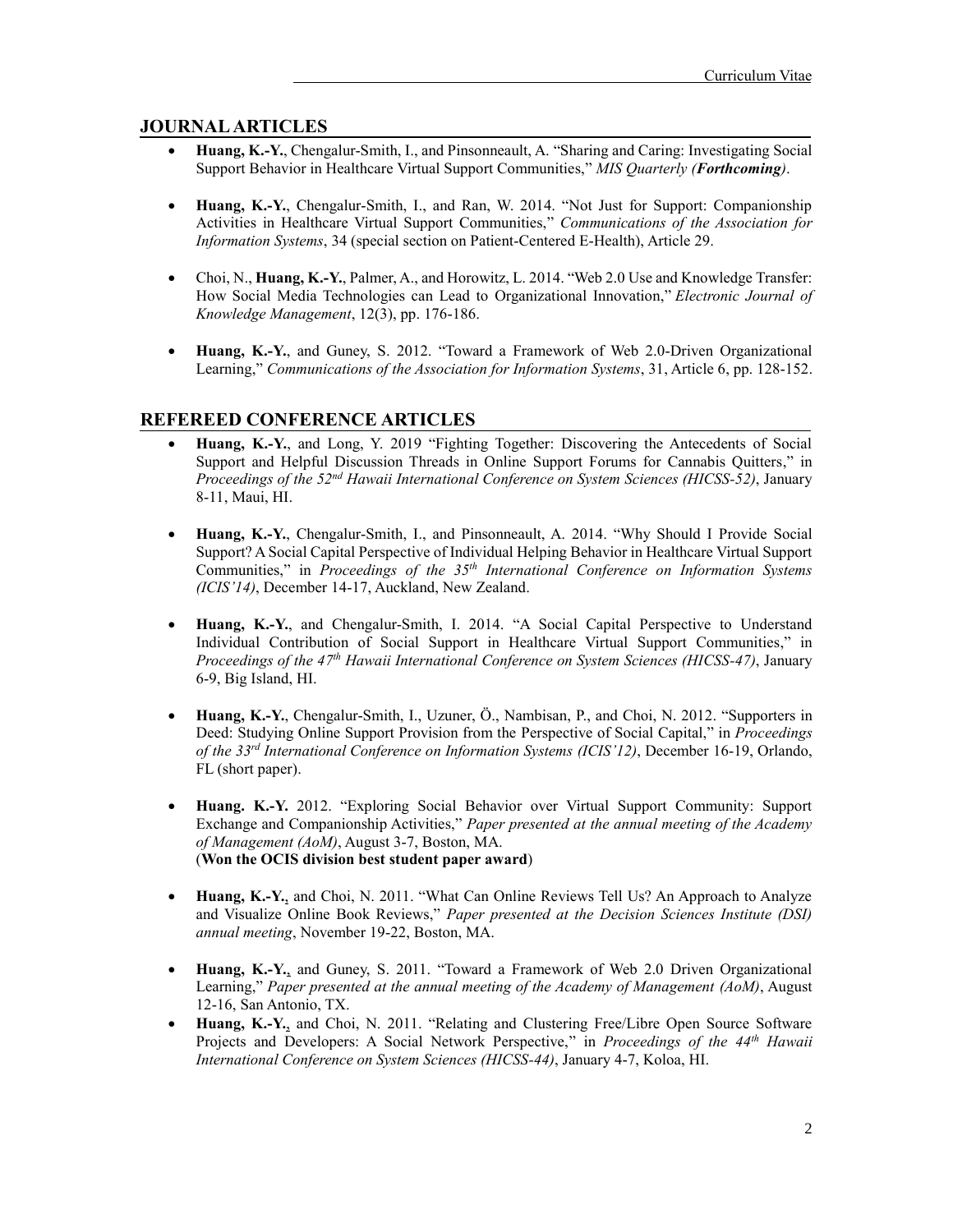#### **JOURNAL ARTICLES**

- **Huang, K.-Y.**, Chengalur-Smith, I., and Pinsonneault, A. "Sharing and Caring: Investigating Social Support Behavior in Healthcare Virtual Support Communities," *MIS Quarterly (Forthcoming)*.
- **Huang, K.-Y.**, Chengalur-Smith, I., and Ran, W. 2014. "Not Just for Support: Companionship Activities in Healthcare Virtual Support Communities," *Communications of the Association for Information Systems*, 34 (special section on Patient-Centered E-Health), Article 29.
- Choi, N., **Huang, K.-Y.**, Palmer, A., and Horowitz, L. 2014. "Web 2.0 Use and Knowledge Transfer: How Social Media Technologies can Lead to Organizational Innovation," *Electronic Journal of Knowledge Management*, 12(3), pp. 176-186.
- **Huang, K.-Y.**, and Guney, S. 2012. "Toward a Framework of Web 2.0-Driven Organizational Learning," *Communications of the Association for Information Systems*, 31, Article 6, pp. 128-152.

#### **REFEREED CONFERENCE ARTICLES**

- **Huang, K.-Y.**, and Long, Y. 2019 "Fighting Together: Discovering the Antecedents of Social Support and Helpful Discussion Threads in Online Support Forums for Cannabis Quitters," in *Proceedings of the 52nd Hawaii International Conference on System Sciences (HICSS-52)*, January 8-11, Maui, HI.
- **Huang, K.-Y.**, Chengalur-Smith, I., and Pinsonneault, A. 2014. "Why Should I Provide Social Support? A Social Capital Perspective of Individual Helping Behavior in Healthcare Virtual Support Communities," in *Proceedings of the 35 th International Conference on Information Systems (ICIS'14)*, December 14-17, Auckland, New Zealand.
- **Huang, K.-Y.**, and Chengalur-Smith, I. 2014. "A Social Capital Perspective to Understand Individual Contribution of Social Support in Healthcare Virtual Support Communities," in Proceedings of the 47<sup>th</sup> Hawaii International Conference on System Sciences (HICSS-47), January 6-9, Big Island, HI.
- **Huang, K.-Y.**, Chengalur-Smith, I., Uzuner, Ö., Nambisan, P., and Choi, N. 2012. "Supporters in Deed: Studying Online Support Provision from the Perspective of Social Capital," in *Proceedings of the 33rd International Conference on Information Systems (ICIS'12)*, December 16-19, Orlando, FL (short paper).
- **Huang. K.-Y.** 2012. "Exploring Social Behavior over Virtual Support Community: Support Exchange and Companionship Activities," *Paper presented at the annual meeting of the Academy of Management (AoM)*, August 3-7, Boston, MA. (**Won the OCIS division best student paper award**)
- **Huang, K.-Y.**, and Choi, N. 2011. "What Can Online Reviews Tell Us? An Approach to Analyze and Visualize Online Book Reviews," *Paper presented at the Decision Sciences Institute (DSI) annual meeting*, November 19-22, Boston, MA.
- **Huang, K.-Y.**, and Guney, S. 2011. "Toward a Framework of Web 2.0 Driven Organizational Learning," *Paper presented at the annual meeting of the Academy of Management (AoM)*, August 12-16, San Antonio, TX.
- **Huang, K.-Y.**, and Choi, N. 2011. "Relating and Clustering Free/Libre Open Source Software Projects and Developers: A Social Network Perspective," in *Proceedings of the 44th Hawaii International Conference on System Sciences (HICSS-44)*, January 4-7, Koloa, HI.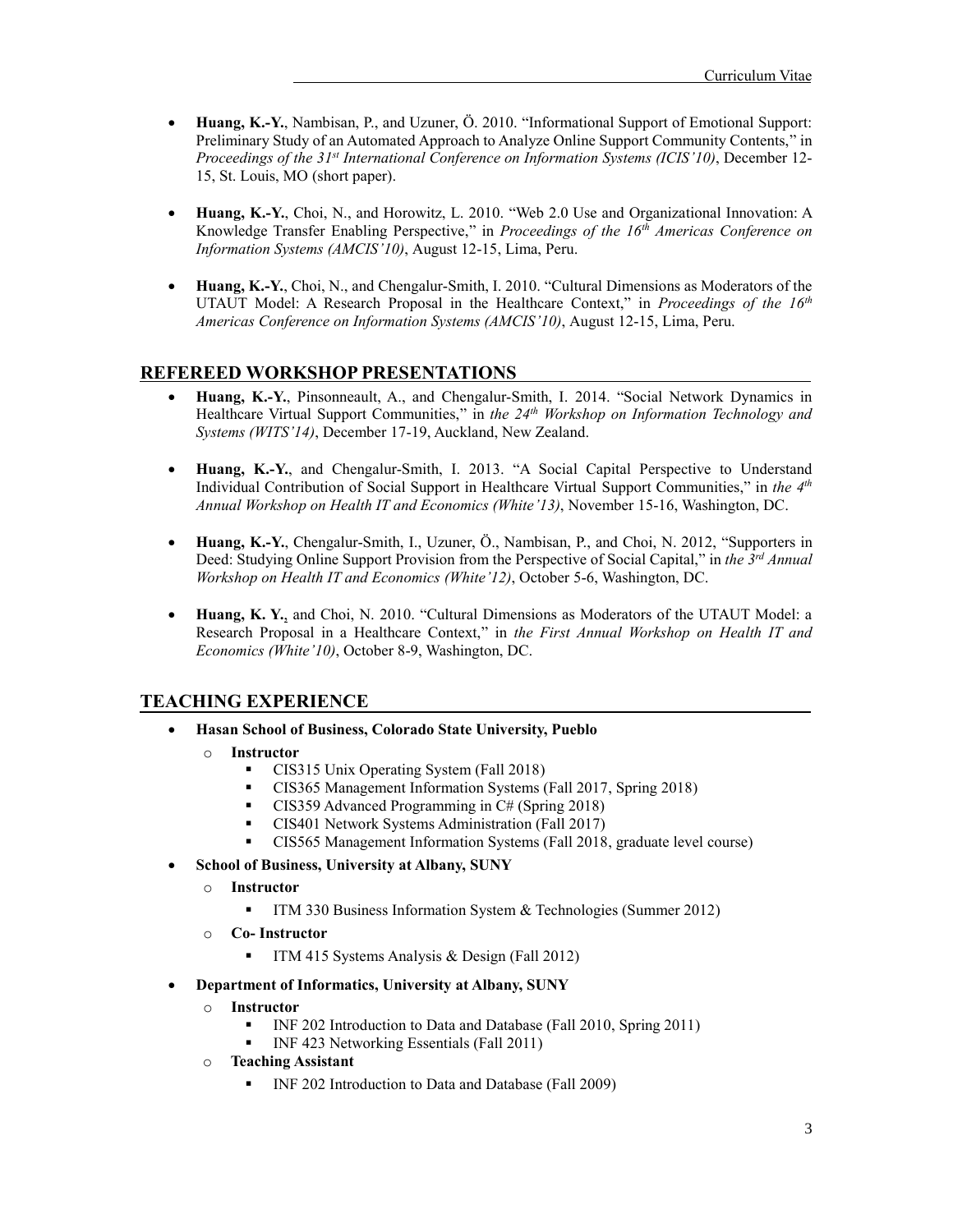- **Huang, K.-Y.**, Nambisan, P., and Uzuner, Ö. 2010. "Informational Support of Emotional Support: Preliminary Study of an Automated Approach to Analyze Online Support Community Contents," in *Proceedings of the 31st International Conference on Information Systems (ICIS'10)*, December 12- 15, St. Louis, MO (short paper).
- **Huang, K.-Y.**, Choi, N., and Horowitz, L. 2010. "Web 2.0 Use and Organizational Innovation: A Knowledge Transfer Enabling Perspective," in *Proceedings of the 16th Americas Conference on Information Systems (AMCIS'10)*, August 12-15, Lima, Peru.
- **Huang, K.-Y.**, Choi, N., and Chengalur-Smith, I. 2010. "Cultural Dimensions as Moderators of the UTAUT Model: A Research Proposal in the Healthcare Context," in *Proceedings of the 16th Americas Conference on Information Systems (AMCIS'10)*, August 12-15, Lima, Peru.

### **REFEREED WORKSHOP PRESENTATIONS**

- **Huang, K.-Y.**, Pinsonneault, A., and Chengalur-Smith, I. 2014. "Social Network Dynamics in Healthcare Virtual Support Communities," in *the 24th Workshop on Information Technology and Systems (WITS'14)*, December 17-19, Auckland, New Zealand.
- **Huang, K.-Y.**, and Chengalur-Smith, I. 2013. "A Social Capital Perspective to Understand Individual Contribution of Social Support in Healthcare Virtual Support Communities," in the 4<sup>th</sup> *Annual Workshop on Health IT and Economics (White'13)*, November 15-16, Washington, DC.
- **Huang, K.-Y.**, Chengalur-Smith, I., Uzuner, Ö., Nambisan, P., and Choi, N. 2012, "Supporters in Deed: Studying Online Support Provision from the Perspective of Social Capital," in *the 3 rd Annual Workshop on Health IT and Economics (White'12)*, October 5-6, Washington, DC.
- **Huang, K. Y.**, and Choi, N. 2010. "Cultural Dimensions as Moderators of the UTAUT Model: a Research Proposal in a Healthcare Context," in *the First Annual Workshop on Health IT and Economics (White'10)*, October 8-9, Washington, DC.

## **TEACHING EXPERIENCE**

- **Hasan School of Business, Colorado State University, Pueblo**
	- o **Instructor**
		- CIS315 Unix Operating System (Fall 2018)
		- CIS365 Management Information Systems (Fall 2017, Spring 2018)
		- CIS359 Advanced Programming in C# (Spring 2018)
		- CIS401 Network Systems Administration (Fall 2017)
		- CIS565 Management Information Systems (Fall 2018, graduate level course)
- **School of Business, University at Albany, SUNY**
	- o **Instructor**
		- **•** ITM 330 Business Information System & Technologies (Summer 2012)
	- o **Co- Instructor**
		- **•** ITM 415 Systems Analysis & Design (Fall 2012)
- **Department of Informatics, University at Albany, SUNY**
	- o **Instructor**
		- **•** INF 202 Introduction to Data and Database (Fall 2010, Spring 2011)
		- INF 423 Networking Essentials (Fall 2011)
	- o **Teaching Assistant**
		- INF 202 Introduction to Data and Database (Fall 2009)